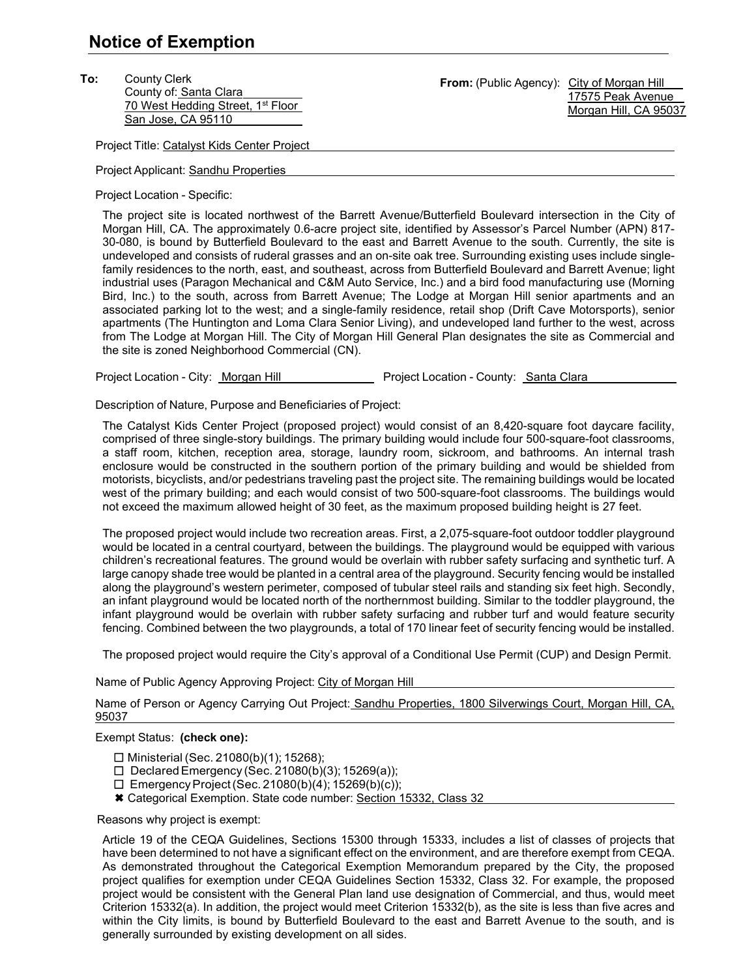**To:** County Clerk County of: Santa Clara 70 West Hedding Street, 1<sup>st</sup> Floor San Jose, CA 95110

From: (Public Agency): City of Morgan Hill 17575 Peak Avenue Morgan Hill, CA 95037

Project Title: Catalyst Kids Center Project

Project Applicant: Sandhu Properties

Project Location - Specific:

The project site is located northwest of the Barrett Avenue/Butterfield Boulevard intersection in the City of Morgan Hill, CA. The approximately 0.6-acre project site, identified by Assessor's Parcel Number (APN) 817- 30-080, is bound by Butterfield Boulevard to the east and Barrett Avenue to the south. Currently, the site is undeveloped and consists of ruderal grasses and an on-site oak tree. Surrounding existing uses include singlefamily residences to the north, east, and southeast, across from Butterfield Boulevard and Barrett Avenue; light industrial uses (Paragon Mechanical and C&M Auto Service, Inc.) and a bird food manufacturing use (Morning Bird, Inc.) to the south, across from Barrett Avenue; The Lodge at Morgan Hill senior apartments and an associated parking lot to the west; and a single-family residence, retail shop (Drift Cave Motorsports), senior apartments (The Huntington and Loma Clara Senior Living), and undeveloped land further to the west, across from The Lodge at Morgan Hill. The City of Morgan Hill General Plan designates the site as Commercial and the site is zoned Neighborhood Commercial (CN).

Project Location - City: Morgan Hill Project Location - County: Santa Clara

Description of Nature, Purpose and Beneficiaries of Project:

The Catalyst Kids Center Project (proposed project) would consist of an 8,420-square foot daycare facility, comprised of three single-story buildings. The primary building would include four 500-square-foot classrooms, a staff room, kitchen, reception area, storage, laundry room, sickroom, and bathrooms. An internal trash enclosure would be constructed in the southern portion of the primary building and would be shielded from motorists, bicyclists, and/or pedestrians traveling past the project site. The remaining buildings would be located west of the primary building; and each would consist of two 500-square-foot classrooms. The buildings would not exceed the maximum allowed height of 30 feet, as the maximum proposed building height is 27 feet.

The proposed project would include two recreation areas. First, a 2,075-square-foot outdoor toddler playground would be located in a central courtyard, between the buildings. The playground would be equipped with various children's recreational features. The ground would be overlain with rubber safety surfacing and synthetic turf. A large canopy shade tree would be planted in a central area of the playground. Security fencing would be installed along the playground's western perimeter, composed of tubular steel rails and standing six feet high. Secondly, an infant playground would be located north of the northernmost building. Similar to the toddler playground, the infant playground would be overlain with rubber safety surfacing and rubber turf and would feature security fencing. Combined between the two playgrounds, a total of 170 linear feet of security fencing would be installed.

The proposed project would require the City's approval of a Conditional Use Permit (CUP) and Design Permit.

Name of Public Agency Approving Project: City of Morgan Hill

Name of Person or Agency Carrying Out Project: Sandhu Properties, 1800 Silverwings Court, Morgan Hill, CA, 95037

## Exempt Status: **(check one):**

- $\Box$  Ministerial (Sec. 21080(b)(1); 15268);
- $\Box$  Declared Emergency (Sec. 21080(b)(3); 15269(a));
- $\Box$  Emergency Project (Sec. 21080(b)(4); 15269(b)(c));
- Categorical Exemption. State code number: Section 15332, Class 32

Reasons why project is exempt:

Article 19 of the CEQA Guidelines, Sections 15300 through 15333, includes a list of classes of projects that have been determined to not have a significant effect on the environment, and are therefore exempt from CEQA. As demonstrated throughout the Categorical Exemption Memorandum prepared by the City, the proposed project qualifies for exemption under CEQA Guidelines Section 15332, Class 32. For example, the proposed project would be consistent with the General Plan land use designation of Commercial, and thus, would meet Criterion 15332(a). In addition, the project would meet Criterion 15332(b), as the site is less than five acres and within the City limits, is bound by Butterfield Boulevard to the east and Barrett Avenue to the south, and is generally surrounded by existing development on all sides.